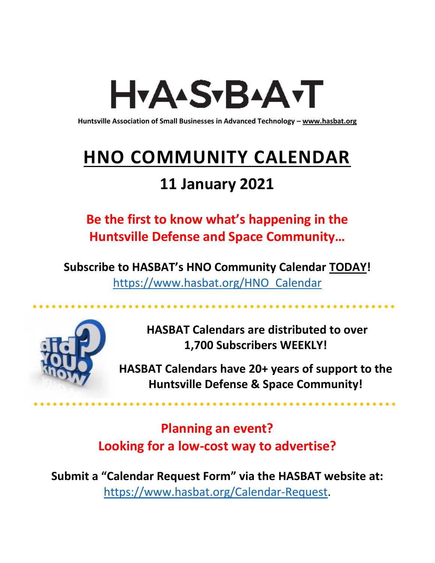# H<sub>Y</sub>AASTBAATT

**Huntsville Association of Small Businesses in Advanced Technology – [www.hasbat.org](http://www.hasbat.org/)**

# **HNO COMMUNITY CALENDAR**

### **11 January 2021**

**Be the first to know what's happening in the Huntsville Defense and Space Community…** 

**Subscribe to HASBAT's HNO Community Calendar TODAY!**  [https://www.hasbat.org/HNO\\_Calendar](https://www.hasbat.org/HNO_Calendar)



**HASBAT Calendars are distributed to over 1,700 Subscribers WEEKLY!**

**HASBAT Calendars have 20+ years of support to the Huntsville Defense & Space Community!** 

**Planning an event? Looking for a low-cost way to advertise?**

**Submit a "Calendar Request Form" via the HASBAT website at:**  [https://www.hasbat.org/Calendar-Request.](https://www.hasbat.org/Calendar-Request)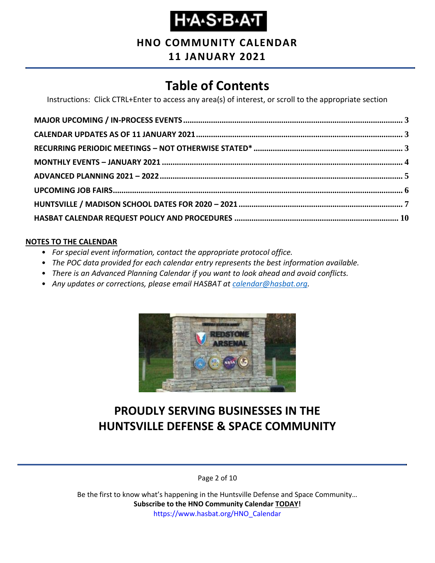### **Н-А-S-В-А-Т**

### **HNO COMMUNITY CALENDAR**

#### **11 JANUARY 2021**

### **Table of Contents**

Instructions: Click CTRL+Enter to access any area(s) of interest, or scroll to the appropriate section

#### **NOTES TO THE CALENDAR**

- *For special event information, contact the appropriate protocol office.*
- *The POC data provided for each calendar entry represents the best information available.*
- *There is an Advanced Planning Calendar if you want to look ahead and avoid conflicts.*
- *Any updates or corrections, please email HASBAT at [calendar@hasbat.org.](mailto:calendar@hasbat.org)*



### **PROUDLY SERVING BUSINESSES IN THE HUNTSVILLE DEFENSE & SPACE COMMUNITY**

Page 2 of 10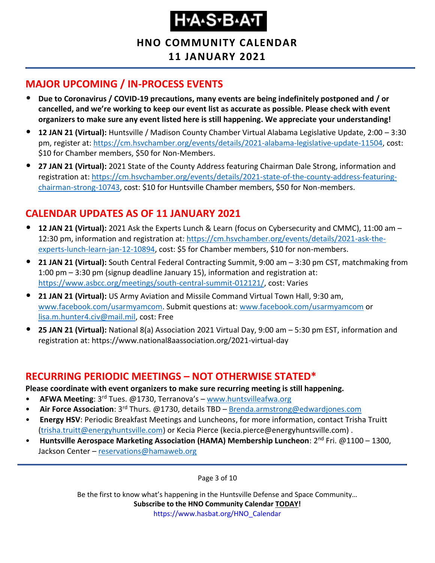# H.A.S.B.A.T

**HNO COMMUNITY CALENDAR 11 JANUARY 2021**

#### <span id="page-2-0"></span>**MAJOR UPCOMING / IN-PROCESS EVENTS**

- **Due to Coronavirus / COVID-19 precautions, many events are being indefinitely postponed and / or cancelled, and we're working to keep our event list as accurate as possible. Please check with event organizers to make sure any event listed here is still happening. We appreciate your understanding!**
- **12 JAN 21 (Virtual):** Huntsville / Madison County Chamber Virtual Alabama Legislative Update, 2:00 3:30 pm, register at: [https://cm.hsvchamber.org/events/details/2021-alabama-legislative-update-11504,](https://cm.hsvchamber.org/events/details/2021-alabama-legislative-update-11504) cost: \$10 for Chamber members, \$50 for Non-Members.
- **27 JAN 21 (Virtual):** 2021 State of the County Address featuring Chairman Dale Strong, information and registration at: [https://cm.hsvchamber.org/events/details/2021-state-of-the-county-address-featuring](https://cm.hsvchamber.org/events/details/2021-state-of-the-county-address-featuring-chairman-strong-10743)[chairman-strong-10743,](https://cm.hsvchamber.org/events/details/2021-state-of-the-county-address-featuring-chairman-strong-10743) cost: \$10 for Huntsville Chamber members, \$50 for Non-members.

#### <span id="page-2-1"></span>**CALENDAR UPDATES AS OF 11 JANUARY 2021**

- **12 JAN 21 (Virtual):** 2021 Ask the Experts Lunch & Learn (focus on Cybersecurity and CMMC), 11:00 am 12:30 pm, information and registration at[: https://cm.hsvchamber.org/events/details/2021-ask-the](https://cm.hsvchamber.org/events/details/2021-ask-the-experts-lunch-learn-jan-12-10894)[experts-lunch-learn-jan-12-10894,](https://cm.hsvchamber.org/events/details/2021-ask-the-experts-lunch-learn-jan-12-10894) cost: \$5 for Chamber members, \$10 for non-members.
- **21 JAN 21 (Virtual):** South Central Federal Contracting Summit, 9:00 am 3:30 pm CST, matchmaking from 1:00 pm – 3:30 pm (signup deadline January 15), information and registration at: [https://www.asbcc.org/meetings/south-central-summit-012121/,](https://www.asbcc.org/meetings/south-central-summit-012121/) cost: Varies
- **21 JAN 21 (Virtual):** US Army Aviation and Missile Command Virtual Town Hall, 9:30 am, [www.facebook.com/usarmyamcom.](http://www.facebook.com/usarmyamcom) Submit questions at: [www.facebook.com/usarmyamcom](http://www.facebook.com/usarmyamcom) or [lisa.m.hunter4.civ@mail.mil,](mailto:lisa.m.hunter4.civ@mail.mil) cost: Free
- **25 JAN 21 (Virtual):** National 8(a) Association 2021 Virtual Day, 9:00 am 5:30 pm EST, information and registration at: https://www.national8aassociation.org/2021-virtual-day

#### <span id="page-2-2"></span>**RECURRING PERIODIC MEETINGS – NOT OTHERWISE STATED\***

**Please coordinate with event organizers to make sure recurring meeting is still happening.**

- **AFWA Meeting**: 3rd Tues. @1730, Terranova's [www.huntsvilleafwa.org](http://www.huntsvilleafwa.org/)
- **Air Force Association**: 3rd Thurs. @1730, details TBD [Brenda.armstrong@edwardjones.com](mailto:Brenda.armstrong@edwardjones.com)
- **Energy HSV**: Periodic Breakfast Meetings and Luncheons, for more information, contact Trisha Truitt [\(trisha.truitt@energyhuntsville.com\)](mailto:trisha.truitt@energyhuntsville.com) or Kecia Pierce (kecia.pierce@energyhuntsville.com) .
- Huntsville Aerospace Marketing Association (HAMA) Membership Luncheon: 2<sup>nd</sup> Fri. @1100 1300, Jackson Center – [reservations@hamaweb.org](mailto:reservations@hamaweb.org)

Page 3 of 10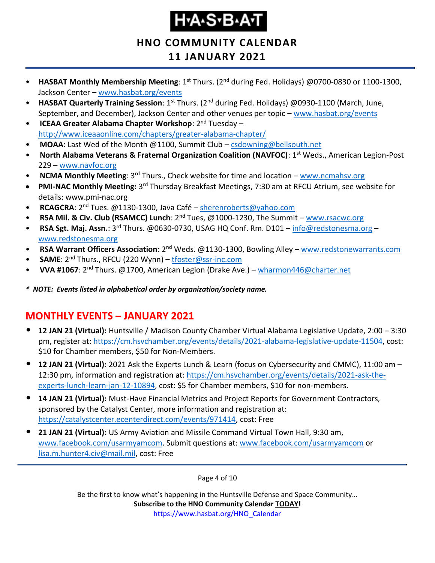# H.A.S.B.A.T

#### **HNO COMMUNITY CALENDAR 11 JANUARY 2021**

- **HASBAT Monthly Membership Meeting**: 1st Thurs. (2nd during Fed. Holidays) @0700-0830 or 1100-1300, Jackson Center – [www.hasbat.org/events](http://www.hasbat.org/events)
- **HASBAT Quarterly Training Session**: 1<sup>st</sup> Thurs. (2<sup>nd</sup> during Fed. Holidays) @0930-1100 (March, June, September, and December), Jackson Center and other venues per topic - [www.hasbat.org/events](http://www.hasbat.org/events)
- **ICEAA Greater Alabama Chapter Workshop**: 2nd Tuesday <http://www.iceaaonline.com/chapters/greater-alabama-chapter/>
- **MOAA**: Last Wed of the Month @1100, Summit Club [csdowning@bellsouth.net](mailto:csdowning@bellsouth.net)
- **North Alabama Veterans & Fraternal Organization Coalition (NAVFOC): 1<sup>st</sup> Weds., American Legion-Post** 229 – [www.navfoc.org](http://www.navfoc.org/)
- **NCMA Monthly Meeting**: 3<sup>rd</sup> Thurs., Check website for time and location [www.ncmahsv.org](http://www.ncmahsv.org/)
- **PMI-NAC Monthly Meeting:** 3<sup>rd</sup> Thursday Breakfast Meetings, 7:30 am at RFCU Atrium, see website for details: www.pmi-nac.org
- **RCAGCRA**: 2nd Tues. @1130-1300, Java Café [sherenroberts@yahoo.com](mailto:sherenroberts@yahoo.com)
- **RSA Mil. & Civ. Club (RSAMCC) Lunch**: 2nd Tues, @1000-1230, The Summit [www.rsacwc.org](http://www.rsacwc.org/)
- **RSA Sgt. Maj. Assn.**: 3rd Thurs. @0630-0730, USAG HQ Conf. Rm. D101 [info@redstonesma.org](mailto:info@redstonesma.org) [www.redstonesma.org](http://www.redstonesma.org/)
- **RSA Warrant Officers Association**: 2<sup>nd</sup> Weds. @1130-1300, Bowling Alley [www.redstonewarrants.com](http://www.redstonewarrants.com/)
- **SAME**: 2nd Thurs., RFCU (220 Wynn) [tfoster@ssr-inc.com](mailto:tfoster@ssr-inc.com)
- **VVA #1067**: 2nd Thurs. @1700, American Legion (Drake Ave.) [wharmon446@charter.net](mailto:wharmon446@charter.net)
- *\* NOTE: Events listed in alphabetical order by organization/society name.*

#### <span id="page-3-0"></span>**MONTHLY EVENTS – JANUARY 2021**

- **12 JAN 21 (Virtual):** Huntsville / Madison County Chamber Virtual Alabama Legislative Update, 2:00 3:30 pm, register at: [https://cm.hsvchamber.org/events/details/2021-alabama-legislative-update-11504,](https://cm.hsvchamber.org/events/details/2021-alabama-legislative-update-11504) cost: \$10 for Chamber members, \$50 for Non-Members.
- **12 JAN 21 (Virtual):** 2021 Ask the Experts Lunch & Learn (focus on Cybersecurity and CMMC), 11:00 am 12:30 pm, information and registration at[: https://cm.hsvchamber.org/events/details/2021-ask-the](https://cm.hsvchamber.org/events/details/2021-ask-the-experts-lunch-learn-jan-12-10894)[experts-lunch-learn-jan-12-10894,](https://cm.hsvchamber.org/events/details/2021-ask-the-experts-lunch-learn-jan-12-10894) cost: \$5 for Chamber members, \$10 for non-members.
- **14 JAN 21 (Virtual):** Must-Have Financial Metrics and Project Reports for Government Contractors, sponsored by the Catalyst Center, more information and registration at: [https://catalystcenter.ecenterdirect.com/events/971414,](https://catalystcenter.ecenterdirect.com/events/971414) cost: Free
- **21 JAN 21 (Virtual):** US Army Aviation and Missile Command Virtual Town Hall, 9:30 am, [www.facebook.com/usarmyamcom.](http://www.facebook.com/usarmyamcom) Submit questions at: [www.facebook.com/usarmyamcom](http://www.facebook.com/usarmyamcom) or [lisa.m.hunter4.civ@mail.mil,](mailto:lisa.m.hunter4.civ@mail.mil) cost: Free

Page 4 of 10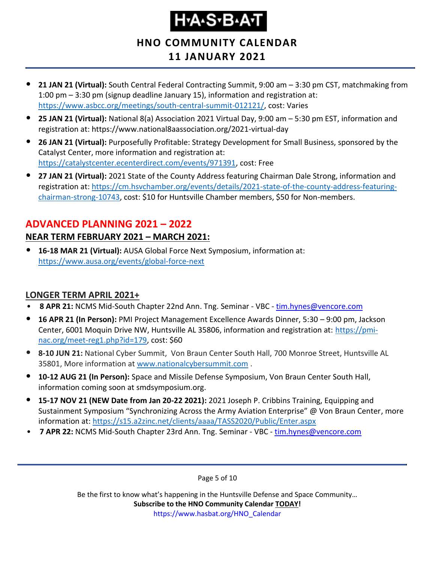# H.A.S.B.A.T

#### **HNO COMMUNITY CALENDAR 11 JANUARY 2021**

- **21 JAN 21 (Virtual):** South Central Federal Contracting Summit, 9:00 am 3:30 pm CST, matchmaking from 1:00 pm – 3:30 pm (signup deadline January 15), information and registration at: [https://www.asbcc.org/meetings/south-central-summit-012121/,](https://www.asbcc.org/meetings/south-central-summit-012121/) cost: Varies
- **25 JAN 21 (Virtual):** National 8(a) Association 2021 Virtual Day, 9:00 am 5:30 pm EST, information and registration at: https://www.national8aassociation.org/2021-virtual-day
- **26 JAN 21 (Virtual):** Purposefully Profitable: Strategy Development for Small Business, sponsored by the Catalyst Center, more information and registration at: [https://catalystcenter.ecenterdirect.com/events/971391,](https://catalystcenter.ecenterdirect.com/events/971391) cost: Free
- **27 JAN 21 (Virtual):** 2021 State of the County Address featuring Chairman Dale Strong, information and registration at: [https://cm.hsvchamber.org/events/details/2021-state-of-the-county-address-featuring](https://cm.hsvchamber.org/events/details/2021-state-of-the-county-address-featuring-chairman-strong-10743)[chairman-strong-10743,](https://cm.hsvchamber.org/events/details/2021-state-of-the-county-address-featuring-chairman-strong-10743) cost: \$10 for Huntsville Chamber members, \$50 for Non-members.

### <span id="page-4-0"></span>**ADVANCED PLANNING 2021 – 2022 NEAR TERM FEBRUARY 2021 – MARCH 2021:**

• **16-18 MAR 21 (Virtual):** AUSA Global Force Next Symposium, information at: <https://www.ausa.org/events/global-force-next>

#### **LONGER TERM APRIL 2021+**

- **8 APR 21:** NCMS Mid-South Chapter 22nd Ann. Tng. Seminar VBC [tim.hynes@vencore.com](mailto:tim.hynes@vencore.com)
- **16 APR 21 (In Person):** PMI Project Management Excellence Awards Dinner, 5:30 9:00 pm, Jackson Center, 6001 Moquin Drive NW, Huntsville AL 35806, information and registration at: [https://pmi](https://pmi-nac.org/meet-reg1.php?id=179)[nac.org/meet-reg1.php?id=179,](https://pmi-nac.org/meet-reg1.php?id=179) cost: \$60
- **8-10 JUN 21:** National Cyber Summit, Von Braun Center South Hall, 700 Monroe Street, Huntsville AL 35801, More information a[t www.nationalcybersummit.com](http://www.nationalcybersummit.com/) .
- **10-12 AUG 21 (In Person):** Space and Missile Defense Symposium, Von Braun Center South Hall, information coming soon at smdsymposium.org.
- **15-17 NOV 21 (NEW Date from Jan 20-22 2021):** 2021 Joseph P. Cribbins Training, Equipping and Sustainment Symposium "Synchronizing Across the Army Aviation Enterprise" @ Von Braun Center, more information at:<https://s15.a2zinc.net/clients/aaaa/TASS2020/Public/Enter.aspx>
- **7 APR 22: NCMS Mid-South Chapter 23rd Ann. Tng. Seminar VBC [tim.hynes@vencore.com](mailto:tim.hynes@vencore.com)**

Page 5 of 10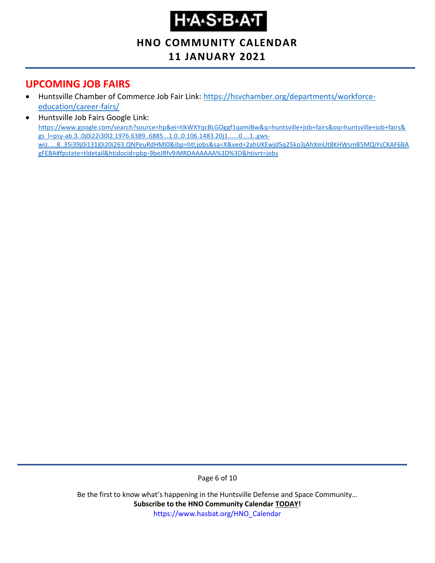# H-A-S-B-A-T

### **HNO COMMUNITY CALENDAR**

#### **11 JANUARY 2021**

#### <span id="page-5-0"></span>**UPCOMING JOB FAIRS**

- Huntsville Chamber of Commerce Job Fair Link: [https://hsvchamber.org/departments/workforce](https://hsvchamber.org/departments/workforce-education/career-fairs/)[education/career-fairs/](https://hsvchamber.org/departments/workforce-education/career-fairs/)
- Huntsville Job Fairs Google Link: [https://www.google.com/search?source=hp&ei=tIkWXYqcBLGOggf1qamIBw&q=huntsville+job+fairs&oq=huntsville+job+fairs&](https://www.google.com/search?source=hp&ei=tIkWXYqcBLGOggf1qamIBw&q=huntsville+job+fairs&oq=huntsville+job+fairs&gs_l=psy-ab.3..0j0i22i30l2.1976.6389..6885...1.0..0.106.1483.20j1......0....1..gws-wiz.....8..35i39j0i131j0i20i263.QNPeuRdHMI0&ibp=htl;jobs&sa=X&ved=2ahUKEwjd5q25ko3jAhXmUt8KHWsmB5MQiYsCKAF6BAgFEBA#fpstate=tldetail&htidocid=pbp-9beJRfv9iMRDAAAAAA%3D%3D&htivrt=jobs) [gs\\_l=psy-ab.3..0j0i22i30l2.1976.6389..6885...1.0..0.106.1483.20j1......0....1..gws](https://www.google.com/search?source=hp&ei=tIkWXYqcBLGOggf1qamIBw&q=huntsville+job+fairs&oq=huntsville+job+fairs&gs_l=psy-ab.3..0j0i22i30l2.1976.6389..6885...1.0..0.106.1483.20j1......0....1..gws-wiz.....8..35i39j0i131j0i20i263.QNPeuRdHMI0&ibp=htl;jobs&sa=X&ved=2ahUKEwjd5q25ko3jAhXmUt8KHWsmB5MQiYsCKAF6BAgFEBA#fpstate=tldetail&htidocid=pbp-9beJRfv9iMRDAAAAAA%3D%3D&htivrt=jobs)[wiz.....8..35i39j0i131j0i20i263.QNPeuRdHMI0&ibp=htl;jobs&sa=X&ved=2ahUKEwjd5q25ko3jAhXmUt8KHWsmB5MQiYsCKAF6BA](https://www.google.com/search?source=hp&ei=tIkWXYqcBLGOggf1qamIBw&q=huntsville+job+fairs&oq=huntsville+job+fairs&gs_l=psy-ab.3..0j0i22i30l2.1976.6389..6885...1.0..0.106.1483.20j1......0....1..gws-wiz.....8..35i39j0i131j0i20i263.QNPeuRdHMI0&ibp=htl;jobs&sa=X&ved=2ahUKEwjd5q25ko3jAhXmUt8KHWsmB5MQiYsCKAF6BAgFEBA#fpstate=tldetail&htidocid=pbp-9beJRfv9iMRDAAAAAA%3D%3D&htivrt=jobs) [gFEBA#fpstate=tldetail&htidocid=pbp-9beJRfv9iMRDAAAAAA%3D%3D&htivrt=jobs](https://www.google.com/search?source=hp&ei=tIkWXYqcBLGOggf1qamIBw&q=huntsville+job+fairs&oq=huntsville+job+fairs&gs_l=psy-ab.3..0j0i22i30l2.1976.6389..6885...1.0..0.106.1483.20j1......0....1..gws-wiz.....8..35i39j0i131j0i20i263.QNPeuRdHMI0&ibp=htl;jobs&sa=X&ved=2ahUKEwjd5q25ko3jAhXmUt8KHWsmB5MQiYsCKAF6BAgFEBA#fpstate=tldetail&htidocid=pbp-9beJRfv9iMRDAAAAAA%3D%3D&htivrt=jobs)

Page 6 of 10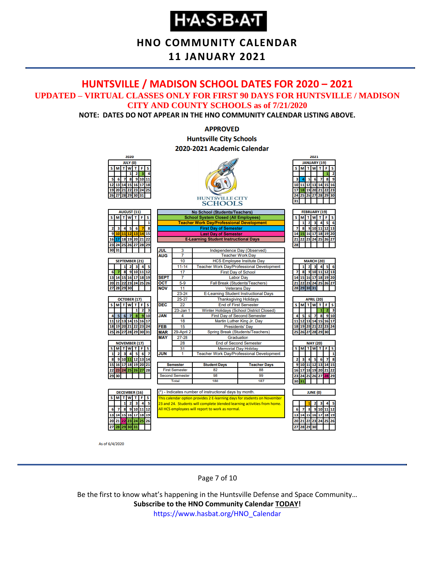### **H-A-S-B-A-T**

#### **HNO COMMUNITY CALENDAR**

#### **11 JANUARY 2021**

#### <span id="page-6-0"></span>**HUNTSVILLE / MADISON SCHOOL DATES FOR 2020 – 2021 UPDATED – VIRTUAL CLASSES ONLY FOR FIRST 90 DAYS FOR HUNTSVILLE / MADISON CITY AND COUNTY SCHOOLS as of 7/21/2020**

**NOTE: DATES DO NOT APPEAR IN THE HNO COMMUNITY CALENDAR LISTING ABOVE.**

#### **APPROVED Huntsville City Schools** 2020-2021 Academic Calendar



As of 6/4/2020

Page 7 of 10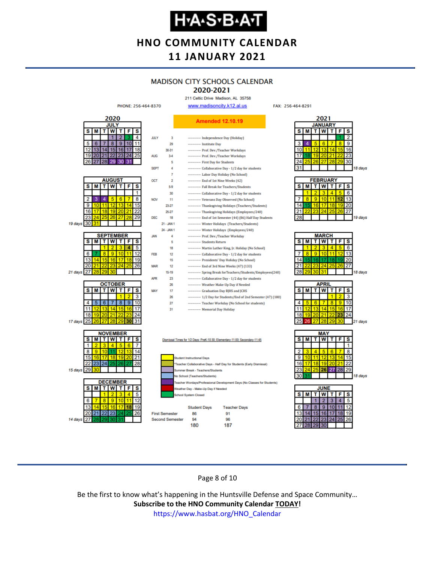### **H-A-S-B-A-T**

#### **HNO COMMUNITY CALENDAR 11 JANUARY 2021**

### **MADISON CITY SCHOOLS CALENDAR**

2020-2021 211 Celtic Drive Madison, AL 35758

FAX: 256-464-8291



Page 8 of 10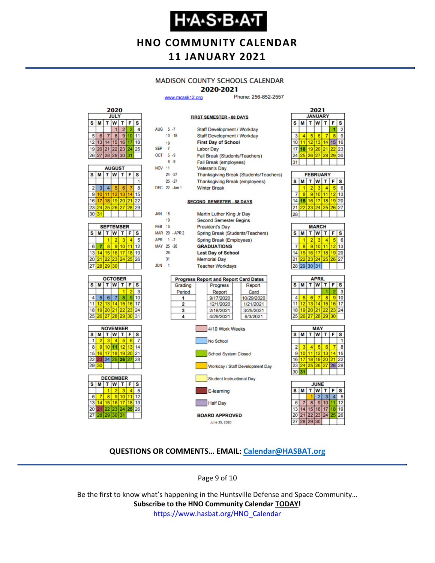### **Н-А-S-В-А-Т**

#### **HNO COMMUNITY CALENDAR 11 JANUARY 2021**

#### **MADISON COUNTY SCHOOLS CALENDAR**

#### 2020-2021

**FIRST SEMESTER - 88 DAYS** 

www.mcssk12.org

Phone: 256-852-2557

| 2020 |             |    |             |    |    |    |  |  |  |
|------|-------------|----|-------------|----|----|----|--|--|--|
|      | <b>JULY</b> |    |             |    |    |    |  |  |  |
| s    | S<br>F<br>м |    |             |    |    |    |  |  |  |
|      |             |    |             | 2  |    |    |  |  |  |
| 5    | 6           |    | 8           | g  | п  |    |  |  |  |
| 12   | 13          |    | -5          | 16 |    | 18 |  |  |  |
| 19   | 20          | 21 | 22 23       |    | 24 | 25 |  |  |  |
| 26   |             |    | 27 28 29 30 |    | 31 |    |  |  |  |

| <b>AUGUST</b> |    |                  |                 |    |    |    |  |  |  |
|---------------|----|------------------|-----------------|----|----|----|--|--|--|
| s             | M  | W<br>F<br>т<br>т |                 |    |    |    |  |  |  |
|               |    |                  |                 |    |    |    |  |  |  |
| 2             | 3  | 4                | 5               | 6  |    | 8  |  |  |  |
| 9             | 10 | 11               | 12 <sup>2</sup> | 13 |    | Б  |  |  |  |
| 16            | 17 | 18               | 19 20           |    | 21 | 22 |  |  |  |
| 23            | 24 |                  | 25 26 27        |    | 28 | 29 |  |  |  |
| 30            | 31 |                  |                 |    |    |    |  |  |  |

| <b>SEPTEMBER</b> |    |                  |          |  |    |    |  |  |  |
|------------------|----|------------------|----------|--|----|----|--|--|--|
| s                | М  | F<br>W<br>S<br>т |          |  |    |    |  |  |  |
|                  |    |                  |          |  |    |    |  |  |  |
| 6                |    | ٠                | g        |  |    | 12 |  |  |  |
| 13               |    | 15 <sub>1</sub>  | 16       |  | 18 | 19 |  |  |  |
| 20               | 21 |                  | 22 23 24 |  | 25 | 26 |  |  |  |
| 27               | 28 | 29               | 30       |  |    |    |  |  |  |







| AUG 5-7       |                |                | Staff Development / Workday                  |            |  |  |  |  |  |
|---------------|----------------|----------------|----------------------------------------------|------------|--|--|--|--|--|
|               |                | $10 - 18$      | Staff Development / Workday                  |            |  |  |  |  |  |
|               | 19             |                | <b>First Day of School</b>                   |            |  |  |  |  |  |
| <b>SEP</b>    | $\overline{7}$ |                | <b>Labor Day</b>                             |            |  |  |  |  |  |
| OCT 5-9       |                |                | Fall Break (Students/Teachers)               |            |  |  |  |  |  |
|               |                | $8 - 9$        | Fall Break (employees)                       |            |  |  |  |  |  |
| <b>NOV 11</b> |                |                | <b>Veteran's Day</b>                         |            |  |  |  |  |  |
|               |                | 24 - 27        | Thanksgiving Break (Students/Teachers)       |            |  |  |  |  |  |
|               |                | $25 - 27$      | Thanksgiving Break (employees)               |            |  |  |  |  |  |
|               |                | DEC 22 - Jan 1 | <b>Winter Break</b>                          |            |  |  |  |  |  |
|               |                |                |                                              |            |  |  |  |  |  |
|               |                |                | <b>SECOND SEMESTER - 88 DAYS</b>             |            |  |  |  |  |  |
|               |                |                |                                              |            |  |  |  |  |  |
| <b>JAN</b>    | 18             |                | Martin Luther King Jr Day                    |            |  |  |  |  |  |
|               | 19             |                | <b>Second Semester Begins</b>                |            |  |  |  |  |  |
| <b>FEB</b> 15 |                |                | <b>President's Day</b>                       |            |  |  |  |  |  |
|               |                | MAR 29 - APR 2 | Spring Break (Students/Teachers)             |            |  |  |  |  |  |
| APR 1-2       |                |                | Spring Break (Employees)                     |            |  |  |  |  |  |
| MAY 25 -26    |                |                | <b>GRADUATIONS</b>                           |            |  |  |  |  |  |
|               | 28             |                | <b>Last Day of School</b>                    |            |  |  |  |  |  |
|               | 31             |                | <b>Memorial Day</b>                          |            |  |  |  |  |  |
| <b>JUN</b>    | 1              |                | <b>Teacher Workdays</b>                      |            |  |  |  |  |  |
|               |                |                |                                              |            |  |  |  |  |  |
|               |                |                | <b>Progress Report and Report Card Dates</b> |            |  |  |  |  |  |
|               |                | Grading        | Progress                                     | Report     |  |  |  |  |  |
|               |                | Period         | Report                                       | Card       |  |  |  |  |  |
|               |                | 1              | 9/17/2020                                    | 10/29/2020 |  |  |  |  |  |
|               |                | 2              | 12/1/2020                                    | 1/21/2021  |  |  |  |  |  |
|               |                | 3              | 2/18/2021                                    | 3/25/2021  |  |  |  |  |  |
|               |                | 4              | 4/29/2021                                    | 6/3/2021   |  |  |  |  |  |





| <b>FEBRUARY</b> |   |    |    |    |    |     |  |
|-----------------|---|----|----|----|----|-----|--|
| s               | м |    | w  |    | F  | s   |  |
|                 |   | 2  | 3  |    |    | 6   |  |
|                 |   | 9  | 10 |    | 12 | R   |  |
|                 |   | 16 | 17 | 18 | 19 | 20  |  |
|                 |   | 23 | 24 | 25 | 26 | 127 |  |
|                 |   |    |    |    |    |     |  |

| <b>MARCH</b> |                 |                        |    |    |    |    |  |  |  |
|--------------|-----------------|------------------------|----|----|----|----|--|--|--|
| S            | М               | W<br>s<br>F<br>τI<br>т |    |    |    |    |  |  |  |
|              |                 | 2                      |    |    |    | 6  |  |  |  |
|              | 8               | 9                      | 10 |    | 12 | 13 |  |  |  |
| 14           | 15 <sup>1</sup> | 16 <sup>1</sup>        | 17 | 18 | 19 | 20 |  |  |  |
| 21           | 22              | 23 24                  |    | 25 | 26 | 27 |  |  |  |
|              | 28 29 30 31     |                        |    |    |    |    |  |  |  |
|              |                 |                        |    |    |    |    |  |  |  |

| APRIL |          |                |   |    |    |    |  |  |
|-------|----------|----------------|---|----|----|----|--|--|
| s     | M        | т              | W | т  | F  | s  |  |  |
|       |          |                |   |    |    | 3  |  |  |
|       |          | 6              |   | 8  | 9  | 10 |  |  |
| 11    |          | 12 13 14       |   | 15 | 16 | 17 |  |  |
| 18    |          | 19 20 21 22 23 |   |    |    | 24 |  |  |
| 25    | 26 27 28 |                |   | 29 | 30 |    |  |  |
|       |          |                |   |    |    |    |  |  |





#### **QUESTIONS OR COMMENTS… EMAIL: [Calendar@HASBAT.org](mailto:calendar@hasbat.org)**

Page 9 of 10